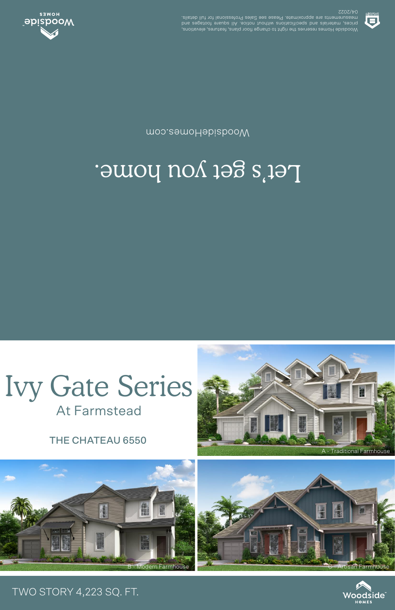



## Ivy Gate Series **At Farmstead**

## Let's get you home.

moo.eamoHabizbooW



**SSOS/40** .elisteb llut tot lanoiszetot9 zels2 ees essel9 .etamixotqqs ets stnemetussem prices, materials and specifications unditive and in the contract of the contract of the contract of the contr<br>pure contract of the contract of the contract of the contract of the contract of the contract of the contract o Woodside Homes reserves the right to change floor plans, features, elevations,



## TWO STORY 4,223 SQ. FT.